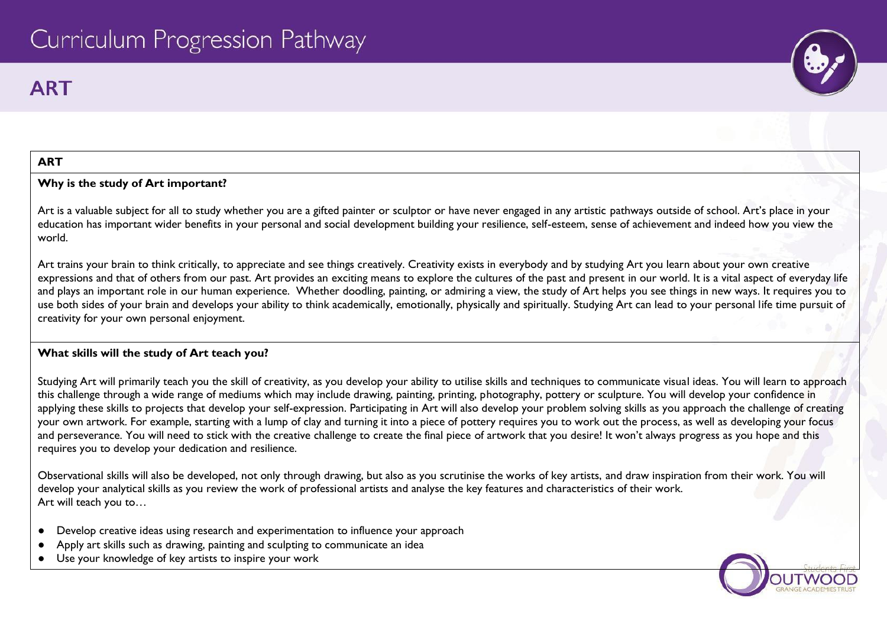# **ART**



#### **ART**

#### **Why is the study of Art important?**

Art is a valuable subject for all to study whether you are a gifted painter or sculptor or have never engaged in any artistic pathways outside of school. Art's place in your education has important wider benefits in your personal and social development building your resilience, self-esteem, sense of achievement and indeed how you view the world.

Art trains your brain to think critically, to appreciate and see things creatively. Creativity exists in everybody and by studying Art you learn about your own creative expressions and that of others from our past. Art provides an exciting means to explore the cultures of the past and present in our world. It is a vital aspect of everyday life and plays an important role in our human experience. Whether doodling, painting, or admiring a view, the study of Art helps you see things in new ways. It requires you to use both sides of your brain and develops your ability to think academically, emotionally, physically and spiritually. Studying Art can lead to your personal life time pursuit of creativity for your own personal enjoyment.

### **What skills will the study of Art teach you?**

Studying Art will primarily teach you the skill of creativity, as you develop your ability to utilise skills and techniques to communicate visual ideas. You will learn to approach this challenge through a wide range of mediums which may include drawing, painting, printing, photography, pottery or sculpture. You will develop your confidence in applying these skills to projects that develop your self-expression. Participating in Art will also develop your problem solving skills as you approach the challenge of creating your own artwork. For example, starting with a lump of clay and turning it into a piece of pottery requires you to work out the process, as well as developing your focus and perseverance. You will need to stick with the creative challenge to create the final piece of artwork that you desire! It won't always progress as you hope and this requires you to develop your dedication and resilience.

Observational skills will also be developed, not only through drawing, but also as you scrutinise the works of key artists, and draw inspiration from their work. You will develop your analytical skills as you review the work of professional artists and analyse the key features and characteristics of their work. Art will teach you to…

- Develop creative ideas using research and experimentation to influence your approach
- Apply art skills such as drawing, painting and sculpting to communicate an idea
- Use your knowledge of key artists to inspire your work

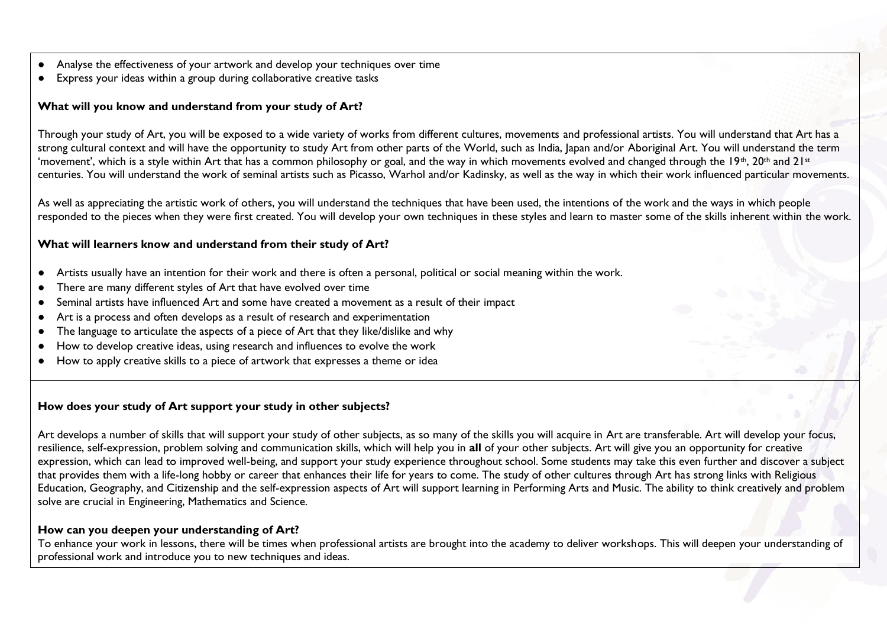- Analyse the effectiveness of your artwork and develop your techniques over time
- Express your ideas within a group during collaborative creative tasks

# **What will you know and understand from your study of Art?**

Through your study of Art, you will be exposed to a wide variety of works from different cultures, movements and professional artists. You will understand that Art has a strong cultural context and will have the opportunity to study Art from other parts of the World, such as India, Japan and/or Aboriginal Art. You will understand the term 'movement', which is a style within Art that has a common philosophy or goal, and the way in which movements evolved and changed through the 19<sup>th</sup>, 20<sup>th</sup> and 21<sup>st</sup> centuries. You will understand the work of seminal artists such as Picasso, Warhol and/or Kadinsky, as well as the way in which their work influenced particular movements.

As well as appreciating the artistic work of others, you will understand the techniques that have been used, the intentions of the work and the ways in which people responded to the pieces when they were first created. You will develop your own techniques in these styles and learn to master some of the skills inherent within the work.

### **What will learners know and understand from their study of Art?**

- Artists usually have an intention for their work and there is often a personal, political or social meaning within the work.
- There are many different styles of Art that have evolved over time
- Seminal artists have influenced Art and some have created a movement as a result of their impact
- Art is a process and often develops as a result of research and experimentation
- The language to articulate the aspects of a piece of Art that they like/dislike and why
- How to develop creative ideas, using research and influences to evolve the work
- How to apply creative skills to a piece of artwork that expresses a theme or idea

### **How does your study of Art support your study in other subjects?**

Art develops a number of skills that will support your study of other subjects, as so many of the skills you will acquire in Art are transferable. Art will develop your focus, resilience, self-expression, problem solving and communication skills, which will help you in **all** of your other subjects. Art will give you an opportunity for creative expression, which can lead to improved well-being, and support your study experience throughout school. Some students may take this even further and discover a subject that provides them with a life-long hobby or career that enhances their life for years to come. The study of other cultures through Art has strong links with Religious Education, Geography, and Citizenship and the self-expression aspects of Art will support learning in Performing Arts and Music. The ability to think creatively and problem solve are crucial in Engineering, Mathematics and Science.

### **How can you deepen your understanding of Art?**

To enhance your work in lessons, there will be times when professional artists are brought into the academy to deliver workshops. This will deepen your understanding of professional work and introduce you to new techniques and ideas.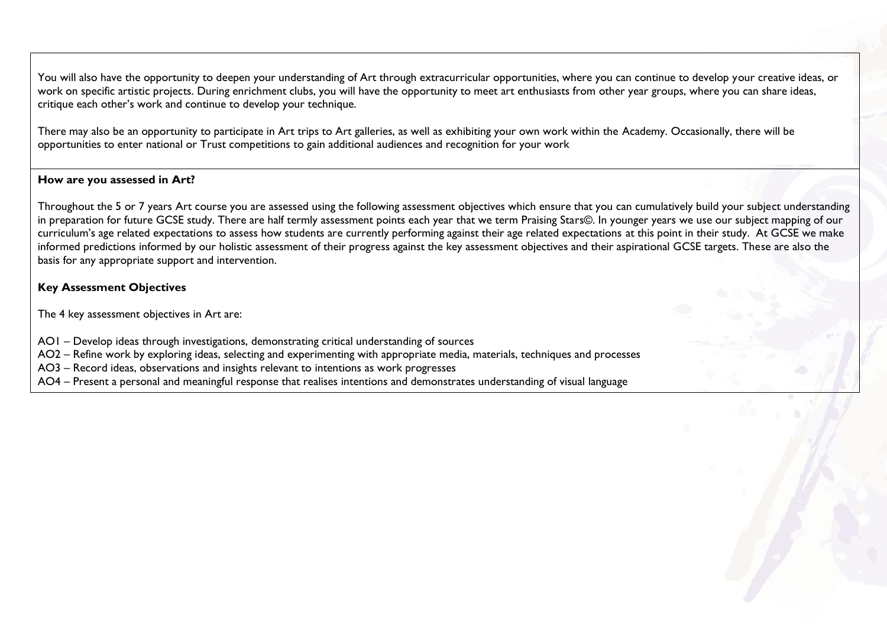You will also have the opportunity to deepen your understanding of Art through extracurricular opportunities, where you can continue to develop your creative ideas, or work on specific artistic projects. During enrichment clubs, you will have the opportunity to meet art enthusiasts from other year groups, where you can share ideas, critique each other's work and continue to develop your technique.

There may also be an opportunity to participate in Art trips to Art galleries, as well as exhibiting your own work within the Academy. Occasionally, there will be opportunities to enter national or Trust competitions to gain additional audiences and recognition for your work

### **How are you assessed in Art?**

Throughout the 5 or 7 years Art course you are assessed using the following assessment objectives which ensure that you can cumulatively build your subject understanding in preparation for future GCSE study. There are half termly assessment points each year that we term Praising Stars©. In younger years we use our subject mapping of our curriculum's age related expectations to assess how students are currently performing against their age related expectations at this point in their study. At GCSE we make informed predictions informed by our holistic assessment of their progress against the key assessment objectives and their aspirational GCSE targets. These are also the basis for any appropriate support and intervention.

# **Key Assessment Objectives**

The 4 key assessment objectives in Art are:

AO1 – Develop ideas through investigations, demonstrating critical understanding of sources

AO2 – Refine work by exploring ideas, selecting and experimenting with appropriate media, materials, techniques and processes

AO3 – Record ideas, observations and insights relevant to intentions as work progresses

AO4 – Present a personal and meaningful response that realises intentions and demonstrates understanding of visual language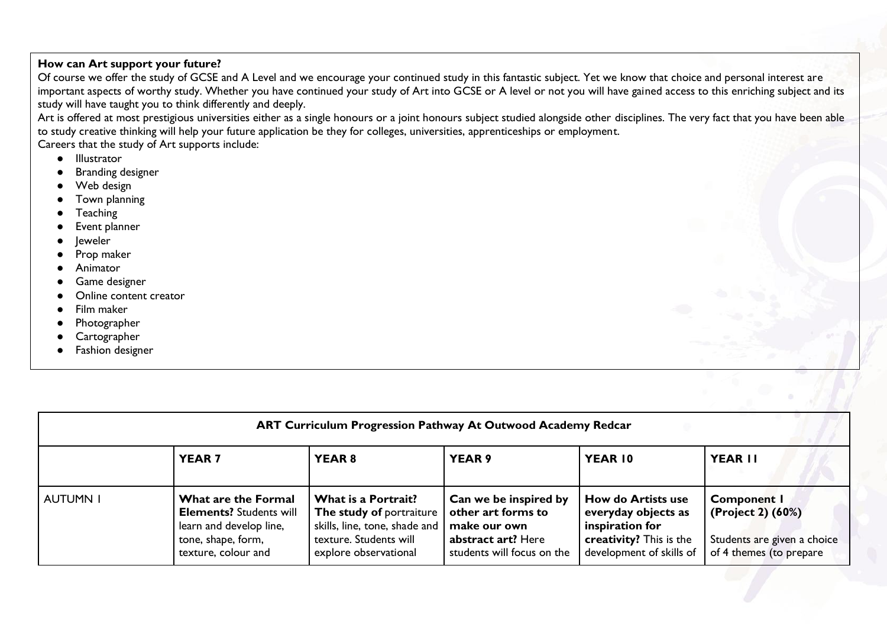# **How can Art support your future?**

Of course we offer the study of GCSE and A Level and we encourage your continued study in this fantastic subject. Yet we know that choice and personal interest are important aspects of worthy study. Whether you have continued your study of Art into GCSE or A level or not you will have gained access to this enriching subject and its study will have taught you to think differently and deeply.

Art is offered at most prestigious universities either as a single honours or a joint honours subject studied alongside other disciplines. The very fact that you have been able to study creative thinking will help your future application be they for colleges, universities, apprenticeships or employment.

Careers that the study of Art supports include:

- Illustrator
- **Branding designer**
- Web design
- Town planning
- **Teaching**
- Event planner
- leweler
- Prop maker
- Animator
- Game designer
- Online content creator
- Film maker
- Photographer
- Cartographer
- Fashion designer

| ART Curriculum Progression Pathway At Outwood Academy Redcar |                                                                                                                               |                                                                                                                                     |                                                                                                                 |                                                                                                                            |                                                                                                   |  |
|--------------------------------------------------------------|-------------------------------------------------------------------------------------------------------------------------------|-------------------------------------------------------------------------------------------------------------------------------------|-----------------------------------------------------------------------------------------------------------------|----------------------------------------------------------------------------------------------------------------------------|---------------------------------------------------------------------------------------------------|--|
|                                                              | <b>YEAR7</b>                                                                                                                  | <b>YEAR 8</b>                                                                                                                       | YEAR 9                                                                                                          | YEAR 10                                                                                                                    | <b>YEAR II</b>                                                                                    |  |
| <b>AUTUMN I</b>                                              | What are the Formal<br><b>Elements? Students will</b><br>learn and develop line,<br>tone, shape, form,<br>texture, colour and | What is a Portrait?<br>The study of portraiture<br>skills, line, tone, shade and<br>texture. Students will<br>explore observational | Can we be inspired by<br>other art forms to<br>make our own<br>abstract art? Here<br>students will focus on the | <b>How do Artists use</b><br>everyday objects as<br>inspiration for<br>creativity? This is the<br>development of skills of | <b>Component I</b><br>(Project 2) (60%)<br>Students are given a choice<br>of 4 themes (to prepare |  |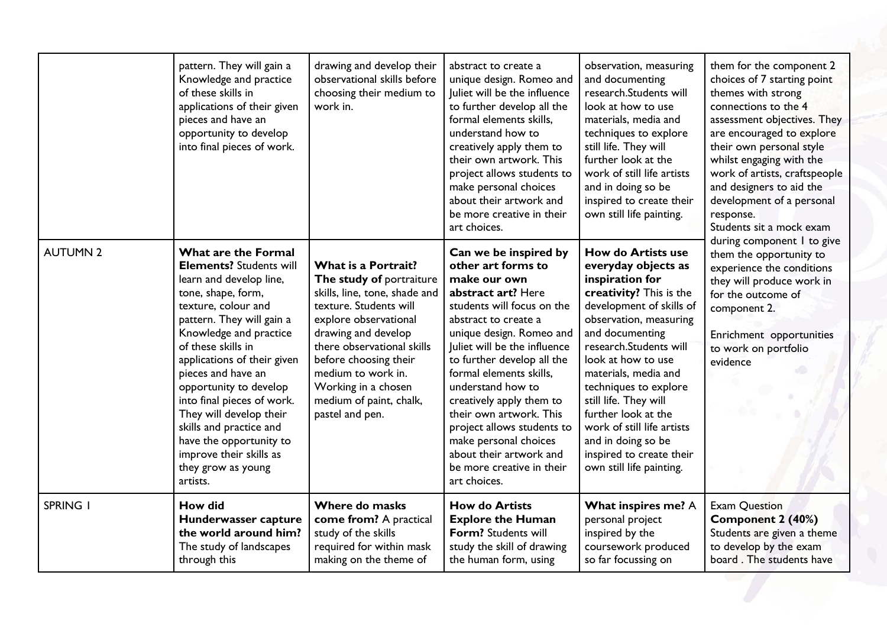|                 | pattern. They will gain a<br>Knowledge and practice<br>of these skills in<br>applications of their given<br>pieces and have an<br>opportunity to develop<br>into final pieces of work.                                                                                                                                                                                                                                                                                | drawing and develop their<br>observational skills before<br>choosing their medium to<br>work in.                                                                                                                                                                                                             | abstract to create a<br>unique design. Romeo and<br>Juliet will be the influence<br>to further develop all the<br>formal elements skills,<br>understand how to<br>creatively apply them to<br>their own artwork. This<br>project allows students to<br>make personal choices<br>about their artwork and<br>be more creative in their<br>art choices.                                                                                                                    | observation, measuring<br>and documenting<br>research.Students will<br>look at how to use<br>materials, media and<br>techniques to explore<br>still life. They will<br>further look at the<br>work of still life artists<br>and in doing so be<br>inspired to create their<br>own still life painting.                                                                                                                               | them for the component 2<br>choices of 7 starting point<br>themes with strong<br>connections to the 4<br>assessment objectives. They<br>are encouraged to explore<br>their own personal style<br>whilst engaging with the<br>work of artists, craftspeople<br>and designers to aid the<br>development of a personal<br>response.<br>Students sit a mock exam<br>during component I to give<br>them the opportunity to<br>experience the conditions<br>they will produce work in<br>for the outcome of<br>component 2.<br>Enrichment opportunities<br>to work on portfolio<br>evidence |
|-----------------|-----------------------------------------------------------------------------------------------------------------------------------------------------------------------------------------------------------------------------------------------------------------------------------------------------------------------------------------------------------------------------------------------------------------------------------------------------------------------|--------------------------------------------------------------------------------------------------------------------------------------------------------------------------------------------------------------------------------------------------------------------------------------------------------------|-------------------------------------------------------------------------------------------------------------------------------------------------------------------------------------------------------------------------------------------------------------------------------------------------------------------------------------------------------------------------------------------------------------------------------------------------------------------------|--------------------------------------------------------------------------------------------------------------------------------------------------------------------------------------------------------------------------------------------------------------------------------------------------------------------------------------------------------------------------------------------------------------------------------------|---------------------------------------------------------------------------------------------------------------------------------------------------------------------------------------------------------------------------------------------------------------------------------------------------------------------------------------------------------------------------------------------------------------------------------------------------------------------------------------------------------------------------------------------------------------------------------------|
| <b>AUTUMN 2</b> | What are the Formal<br><b>Elements? Students will</b><br>learn and develop line,<br>tone, shape, form,<br>texture, colour and<br>pattern. They will gain a<br>Knowledge and practice<br>of these skills in<br>applications of their given<br>pieces and have an<br>opportunity to develop<br>into final pieces of work.<br>They will develop their<br>skills and practice and<br>have the opportunity to<br>improve their skills as<br>they grow as young<br>artists. | What is a Portrait?<br>The study of portraiture<br>skills, line, tone, shade and<br>texture. Students will<br>explore observational<br>drawing and develop<br>there observational skills<br>before choosing their<br>medium to work in.<br>Working in a chosen<br>medium of paint, chalk,<br>pastel and pen. | Can we be inspired by<br>other art forms to<br>make our own<br>abstract art? Here<br>students will focus on the<br>abstract to create a<br>unique design. Romeo and<br>Juliet will be the influence<br>to further develop all the<br>formal elements skills,<br>understand how to<br>creatively apply them to<br>their own artwork. This<br>project allows students to<br>make personal choices<br>about their artwork and<br>be more creative in their<br>art choices. | <b>How do Artists use</b><br>everyday objects as<br>inspiration for<br>creativity? This is the<br>development of skills of<br>observation, measuring<br>and documenting<br>research.Students will<br>look at how to use<br>materials, media and<br>techniques to explore<br>still life. They will<br>further look at the<br>work of still life artists<br>and in doing so be<br>inspired to create their<br>own still life painting. |                                                                                                                                                                                                                                                                                                                                                                                                                                                                                                                                                                                       |
| <b>SPRING I</b> | <b>How did</b><br>Hunderwasser capture<br>the world around him?<br>The study of landscapes<br>through this                                                                                                                                                                                                                                                                                                                                                            | Where do masks<br>come from? A practical<br>study of the skills<br>required for within mask<br>making on the theme of                                                                                                                                                                                        | <b>How do Artists</b><br><b>Explore the Human</b><br>Form? Students will<br>study the skill of drawing<br>the human form, using                                                                                                                                                                                                                                                                                                                                         | What inspires me? A<br>personal project<br>inspired by the<br>coursework produced<br>so far focussing on                                                                                                                                                                                                                                                                                                                             | <b>Exam Question</b><br>Component 2 (40%)<br>Students are given a theme<br>to develop by the exam<br>board. The students have                                                                                                                                                                                                                                                                                                                                                                                                                                                         |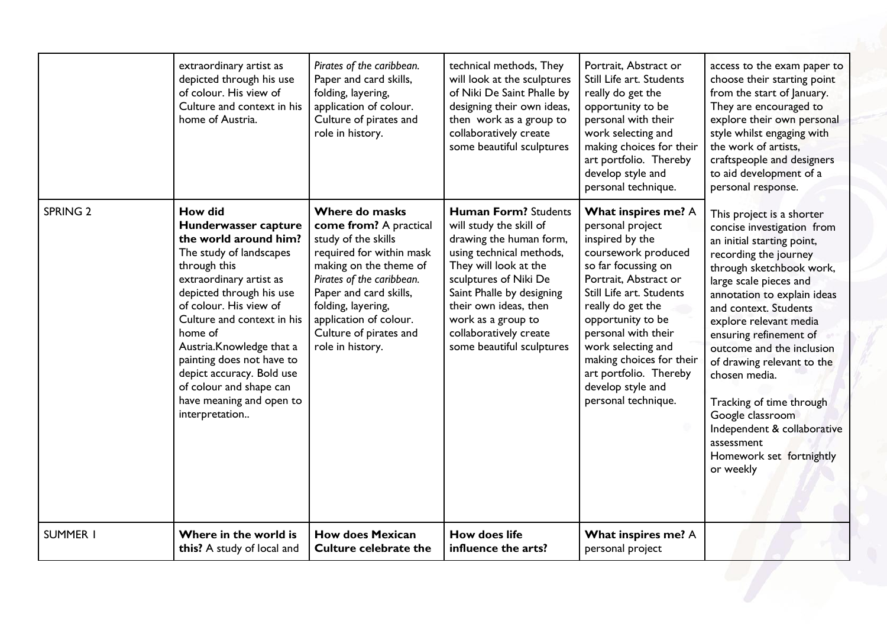|                     | extraordinary artist as<br>depicted through his use<br>of colour. His view of<br>Culture and context in his<br>home of Austria.                                                                                                                                                                                                                                                                     | Pirates of the caribbean.<br>Paper and card skills,<br>folding, layering,<br>application of colour.<br>Culture of pirates and<br>role in history.                                                                                                                          | technical methods, They<br>will look at the sculptures<br>of Niki De Saint Phalle by<br>designing their own ideas,<br>then work as a group to<br>collaboratively create<br>some beautiful sculptures                                                                                               | Portrait, Abstract or<br>Still Life art. Students<br>really do get the<br>opportunity to be<br>personal with their<br>work selecting and<br>making choices for their<br>art portfolio. Thereby<br>develop style and<br>personal technique.                                                                                                             | access to the exam paper to<br>choose their starting point<br>from the start of January.<br>They are encouraged to<br>explore their own personal<br>style whilst engaging with<br>the work of artists.<br>craftspeople and designers<br>to aid development of a<br>personal response.                                                                                                                                                                                                              |
|---------------------|-----------------------------------------------------------------------------------------------------------------------------------------------------------------------------------------------------------------------------------------------------------------------------------------------------------------------------------------------------------------------------------------------------|----------------------------------------------------------------------------------------------------------------------------------------------------------------------------------------------------------------------------------------------------------------------------|----------------------------------------------------------------------------------------------------------------------------------------------------------------------------------------------------------------------------------------------------------------------------------------------------|--------------------------------------------------------------------------------------------------------------------------------------------------------------------------------------------------------------------------------------------------------------------------------------------------------------------------------------------------------|----------------------------------------------------------------------------------------------------------------------------------------------------------------------------------------------------------------------------------------------------------------------------------------------------------------------------------------------------------------------------------------------------------------------------------------------------------------------------------------------------|
| SPRING <sub>2</sub> | <b>How did</b><br>Hunderwasser capture<br>the world around him?<br>The study of landscapes<br>through this<br>extraordinary artist as<br>depicted through his use<br>of colour. His view of<br>Culture and context in his<br>home of<br>Austria.Knowledge that a<br>painting does not have to<br>depict accuracy. Bold use<br>of colour and shape can<br>have meaning and open to<br>interpretation | Where do masks<br>come from? A practical<br>study of the skills<br>required for within mask<br>making on the theme of<br>Pirates of the caribbean.<br>Paper and card skills,<br>folding, layering,<br>application of colour.<br>Culture of pirates and<br>role in history. | <b>Human Form? Students</b><br>will study the skill of<br>drawing the human form,<br>using technical methods,<br>They will look at the<br>sculptures of Niki De<br>Saint Phalle by designing<br>their own ideas, then<br>work as a group to<br>collaboratively create<br>some beautiful sculptures | What inspires me? A<br>personal project<br>inspired by the<br>coursework produced<br>so far focussing on<br>Portrait, Abstract or<br>Still Life art. Students<br>really do get the<br>opportunity to be<br>personal with their<br>work selecting and<br>making choices for their<br>art portfolio. Thereby<br>develop style and<br>personal technique. | This project is a shorter<br>concise investigation from<br>an initial starting point,<br>recording the journey<br>through sketchbook work,<br>large scale pieces and<br>annotation to explain ideas<br>and context. Students<br>explore relevant media<br>ensuring refinement of<br>outcome and the inclusion<br>of drawing relevant to the<br>chosen media.<br>Tracking of time through<br>Google classroom<br>Independent & collaborative<br>assessment<br>Homework set fortnightly<br>or weekly |
| <b>SUMMER I</b>     | Where in the world is<br>this? A study of local and                                                                                                                                                                                                                                                                                                                                                 | <b>How does Mexican</b><br><b>Culture celebrate the</b>                                                                                                                                                                                                                    | <b>How does life</b><br>influence the arts?                                                                                                                                                                                                                                                        | What inspires me? A<br>personal project                                                                                                                                                                                                                                                                                                                |                                                                                                                                                                                                                                                                                                                                                                                                                                                                                                    |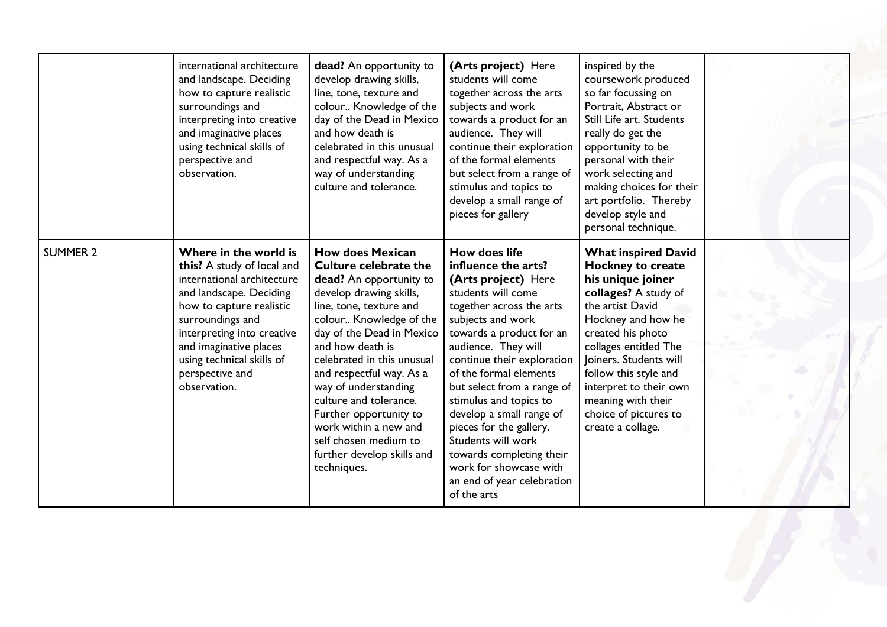|                 | international architecture<br>and landscape. Deciding<br>how to capture realistic<br>surroundings and<br>interpreting into creative<br>and imaginative places<br>using technical skills of<br>perspective and<br>observation.                                                        | dead? An opportunity to<br>develop drawing skills,<br>line, tone, texture and<br>colour Knowledge of the<br>day of the Dead in Mexico<br>and how death is<br>celebrated in this unusual<br>and respectful way. As a<br>way of understanding<br>culture and tolerance.                                                                                                                                                                                     | (Arts project) Here<br>students will come<br>together across the arts<br>subjects and work<br>towards a product for an<br>audience. They will<br>continue their exploration<br>of the formal elements<br>but select from a range of<br>stimulus and topics to<br>develop a small range of<br>pieces for gallery                                                                                                                                                                              | inspired by the<br>coursework produced<br>so far focussing on<br>Portrait, Abstract or<br>Still Life art. Students<br>really do get the<br>opportunity to be<br>personal with their<br>work selecting and<br>making choices for their<br>art portfolio. Thereby<br>develop style and<br>personal technique.                                  |  |
|-----------------|--------------------------------------------------------------------------------------------------------------------------------------------------------------------------------------------------------------------------------------------------------------------------------------|-----------------------------------------------------------------------------------------------------------------------------------------------------------------------------------------------------------------------------------------------------------------------------------------------------------------------------------------------------------------------------------------------------------------------------------------------------------|----------------------------------------------------------------------------------------------------------------------------------------------------------------------------------------------------------------------------------------------------------------------------------------------------------------------------------------------------------------------------------------------------------------------------------------------------------------------------------------------|----------------------------------------------------------------------------------------------------------------------------------------------------------------------------------------------------------------------------------------------------------------------------------------------------------------------------------------------|--|
| <b>SUMMER 2</b> | Where in the world is<br>this? A study of local and<br>international architecture<br>and landscape. Deciding<br>how to capture realistic<br>surroundings and<br>interpreting into creative<br>and imaginative places<br>using technical skills of<br>perspective and<br>observation. | <b>How does Mexican</b><br><b>Culture celebrate the</b><br>dead? An opportunity to<br>develop drawing skills,<br>line, tone, texture and<br>colour Knowledge of the<br>day of the Dead in Mexico<br>and how death is<br>celebrated in this unusual<br>and respectful way. As a<br>way of understanding<br>culture and tolerance.<br>Further opportunity to<br>work within a new and<br>self chosen medium to<br>further develop skills and<br>techniques. | <b>How does life</b><br>influence the arts?<br>(Arts project) Here<br>students will come<br>together across the arts<br>subjects and work<br>towards a product for an<br>audience. They will<br>continue their exploration<br>of the formal elements<br>but select from a range of<br>stimulus and topics to<br>develop a small range of<br>pieces for the gallery.<br>Students will work<br>towards completing their<br>work for showcase with<br>an end of year celebration<br>of the arts | <b>What inspired David</b><br><b>Hockney to create</b><br>his unique joiner<br>collages? A study of<br>the artist David<br>Hockney and how he<br>created his photo<br>collages entitled The<br>Joiners. Students will<br>follow this style and<br>interpret to their own<br>meaning with their<br>choice of pictures to<br>create a collage. |  |